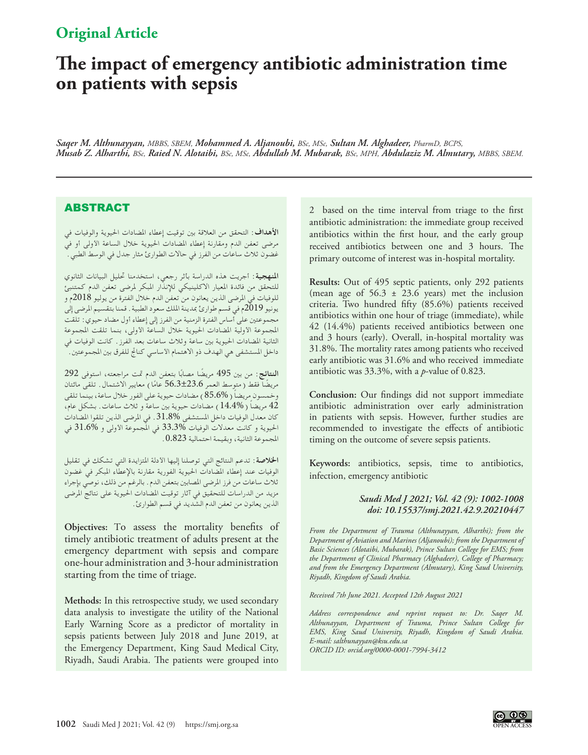# **Original Article**

# **The impact of emergency antibiotic administration time on patients with sepsis**

*Saqer M. Althunayyan, MBBS, SBEM, Mohammed A. Aljanoubi, BSc, MSc, Sultan M. Alghadeer, PharmD, BCPS, Musab Z. Alharthi, BSc, Raied N. Alotaibi, BSc, MSc, Abdullah M. Mubarak, BSc, MPH, Abdulaziz M. Almutary, MBBS, SBEM.*

## **ABSTRACT**

**األهداف:** التحقق من العالقة بني توقيت إعطاء املضادات احليوية والوفيات في مرضى تعفن الدم ومقارنة إعطاء املضادات احليوية خالل الساعة األولى أو في غضون ثلاث ساعات من الفرز في حالات الطوارئ مثار جدل في الوسط الطبي ."

**املنهجية:** أجريت هذه الدراسة بأثر رجعي، استخدمنا حتليل البيانات الثانوي للتحقق من فائدة املعيار االكلينيكي لإلنذار املبكر ملرضى تعفن الدم كمتنبئ للوفيات في املرضى الذين يعانون من تعفن الدم خالل الفترة من يوليو 2018م و يونيو 2019م في قسم طوارئ مبدينة امللك سعود الطبية. قمنا بتقسيم املرضى إلى مجموعتني على أساس الفترة الزمنية من الفرز إلى إعطاء أول مضاد حيوي: تلقت املجموعة األولية املضادات احليوية خالل الساعة األولى، بنما تلقت املجموعة الثانية املضادات احليوية بني ساعة وثالث ساعات بعد الفرز. كانت الوفيات في داخل المستشفى هي الهدف ذو الاهتمام الأساسي كناتج للفرق بين المجموعتين. أ

ا**لنتائج**: من بين 495 مريضًا مصابًا بتعفن الدم تمت مراجعته، استوفى 292 مريضًا فقط ( متوسط العمر 56.3±23.6 عامًا ) معايير الاشتمال. تلقى مائتان<br>. وخمسون مريضاً ( 85.6% ) مضادات حيوية على الفور خلال ساعة، بينما تلقى 42 ً مريضا )14.4%( مضادات حيوية بني ساعة و ثالث ساعات. بشكل عام، كان معدل الوفيات داخل املستشفى .31.8% في املرضى الذين تلقوا املضادات احليوية و كانت معدالت الوفيات 33.3% في املجموعة األولى و 31.6% في املجموعة الثانية، وبقيمة احتمالية .0.823

**اخلالصة:** تدعم النتائج التي توصلنا إليها األدلة املتزايدة التي تشكك في تقليل الوفيات عند إعطاء املضادات احليوية الفورية مقارنة باإلعطاء املبكر في غضون ثالث ساعات من فرز املرضى املصابني بتعفن الدم. بالرغم من ذلك، نوصي بإجراء مزيد من الدراسات للتحقيق في آثار توقيت املضادات احليوية على نتائج املرضى الذين يعانون من تعفن الدم الشديد في قسم الطوارئ.

**Objectives:** To assess the mortality benefits of timely antibiotic treatment of adults present at the emergency department with sepsis and compare one-hour administration and 3-hour administration starting from the time of triage.

**Methods:** In this retrospective study, we used secondary data analysis to investigate the utility of the National Early Warning Score as a predictor of mortality in sepsis patients between July 2018 and June 2019, at the Emergency Department, King Saud Medical City, Riyadh, Saudi Arabia. The patients were grouped into

2 based on the time interval from triage to the first antibiotic administration: the immediate group received antibiotics within the first hour, and the early group received antibiotics between one and 3 hours. The primary outcome of interest was in-hospital mortality.

**Results:** Out of 495 septic patients, only 292 patients (mean age of 56.3 ± 23.6 years) met the inclusion criteria. Two hundred fifty (85.6%) patients received antibiotics within one hour of triage (immediate), while 42 (14.4%) patients received antibiotics between one and 3 hours (early). Overall, in-hospital mortality was 31.8%. The mortality rates among patients who received early antibiotic was 31.6% and who received immediate antibiotic was 33.3%, with a *p*-value of 0.823.

**Conclusion:** Our findings did not support immediate antibiotic administration over early administration in patients with sepsis. However, further studies are recommended to investigate the effects of antibiotic timing on the outcome of severe sepsis patients.

**Keywords:** antibiotics, sepsis, time to antibiotics, infection, emergency antibiotic

#### *Saudi Med J 2021; Vol. 42 (9): 1002-1008 doi: 10.15537/smj.2021.42.9.20210447*

*From the Department of Trauma (Althunayyan, Alharthi); from the Department of Aviation and Marines (Aljanoubi); from the Department of Basic Sciences (Alotaibi, Mubarak), Prince Sultan College for EMS; from the Department of Clinical Pharmacy (Alghadeer), College of Pharmacy; and from the Emergency Department (Almutary), King Saud University, Riyadh, Kingdom of Saudi Arabia.*

*Received 7th June 2021. Accepted 12th August 2021*

*Address correspondence and reprint request to: Dr. Saqer M. Althunayyan, Department of Trauma, Prince Sultan College for EMS, King Saud University, Riyadh, Kingdom of Saudi Arabia. E-mail: salthunayyan@ksu.edu.sa ORCID ID: orcid.org/0000-0001-7994-3412*

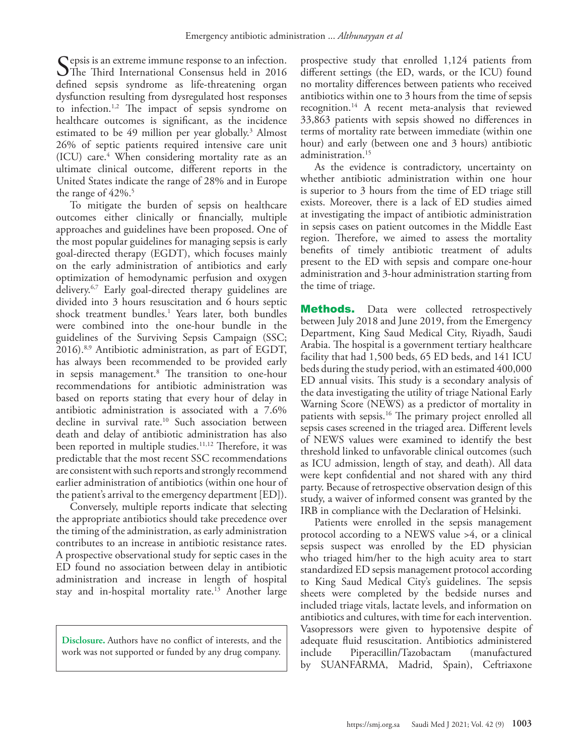Sepsis is an extreme immune response to an infection.<br>The Third International Consensus held in 2016 defined sepsis syndrome as life-threatening organ dysfunction resulting from dysregulated host responses to infection.[1](#page-6-0)[,2](#page-6-1) The impact of sepsis syndrome on healthcare outcomes is significant, as the incidence estimated to be 49 million per year globally.<sup>[3](#page-6-2)</sup> Almost 26% of septic patients required intensive care unit (ICU) care.[4](#page-6-3) When considering mortality rate as an ultimate clinical outcome, different reports in the United States indicate the range of 28% and in Europe the range of 42%.<sup>5</sup>

To mitigate the burden of sepsis on healthcare outcomes either clinically or financially, multiple approaches and guidelines have been proposed. One of the most popular guidelines for managing sepsis is early goal-directed therapy (EGDT), which focuses mainly on the early administration of antibiotics and early optimization of hemodynamic perfusion and oxygen delivery.[6,](#page-6-4)[7](#page-6-5) Early goal-directed therapy guidelines are divided into 3 hours resuscitation and 6 hours septic shock treatment bundles.1 Years later, both bundles were combined into the one-hour bundle in the guidelines of the Surviving Sepsis Campaign (SSC; 2016).[8](#page-6-6),[9](#page-6-7) Antibiotic administration, as part of EGDT, has always been recommended to be provided early in sepsis management[.8](#page-6-6) The transition to one-hour recommendations for antibiotic administration was based on reports stating that every hour of delay in antibiotic administration is associated with a 7.6% decline in survival rate.<sup>10</sup> Such association between death and delay of antibiotic administration has also been reported in multiple studies.<sup>11,12</sup> Therefore, it was predictable that the most recent SSC recommendations are consistent with such reports and strongly recommend earlier administration of antibiotics (within one hour of the patient's arrival to the emergency department [ED]).

Conversely, multiple reports indicate that selecting the appropriate antibiotics should take precedence over the timing of the administration, as early administration contributes to an increase in antibiotic resistance rates. A prospective observational study for septic cases in the ED found no association between delay in antibiotic administration and increase in length of hospital stay and in-hospital mortality rate.<sup>[13](#page-6-9)</sup> Another large

**Disclosure.** Authors have no conflict of interests, and the work was not supported or funded by any drug company.

prospective study that enrolled 1,124 patients from different settings (the ED, wards, or the ICU) found no mortality differences between patients who received antibiotics within one to 3 hours from the time of sepsis recognition.[14](#page-6-10) A recent meta-analysis that reviewed 33,863 patients with sepsis showed no differences in terms of mortality rate between immediate (within one hour) and early (between one and 3 hours) antibiotic administration.[15](#page-6-11)

As the evidence is contradictory, uncertainty on whether antibiotic administration within one hour is superior to 3 hours from the time of ED triage still exists. Moreover, there is a lack of ED studies aimed at investigating the impact of antibiotic administration in sepsis cases on patient outcomes in the Middle East region. Therefore, we aimed to assess the mortality benefits of timely antibiotic treatment of adults present to the ED with sepsis and compare one-hour administration and 3-hour administration starting from the time of triage.

**Methods.** Data were collected retrospectively between July 2018 and June 2019, from the Emergency Department, King Saud Medical City, Riyadh, Saudi Arabia. The hospital is a government tertiary healthcare facility that had 1,500 beds, 65 ED beds, and 141 ICU beds during the study period, with an estimated 400,000 ED annual visits. This study is a secondary analysis of the data investigating the utility of triage National Early Warning Score (NEWS) as a predictor of mortality in patients with sepsis[.16](#page-6-12) The primary project enrolled all sepsis cases screened in the triaged area. Different levels of NEWS values were examined to identify the best threshold linked to unfavorable clinical outcomes (such as ICU admission, length of stay, and death). All data were kept confidential and not shared with any third party. Because of retrospective observation design of this study, a waiver of informed consent was granted by the IRB in compliance with the Declaration of Helsinki.

Patients were enrolled in the sepsis management protocol according to a NEWS value >4, or a clinical sepsis suspect was enrolled by the ED physician who triaged him/her to the high acuity area to start standardized ED sepsis management protocol according to King Saud Medical City's guidelines. The sepsis sheets were completed by the bedside nurses and included triage vitals, lactate levels, and information on antibiotics and cultures, with time for each intervention. Vasopressors were given to hypotensive despite of adequate fluid resuscitation. Antibiotics administered include Piperacillin/Tazobactam (manufactured by SUANFARMA, Madrid, Spain), Ceftriaxone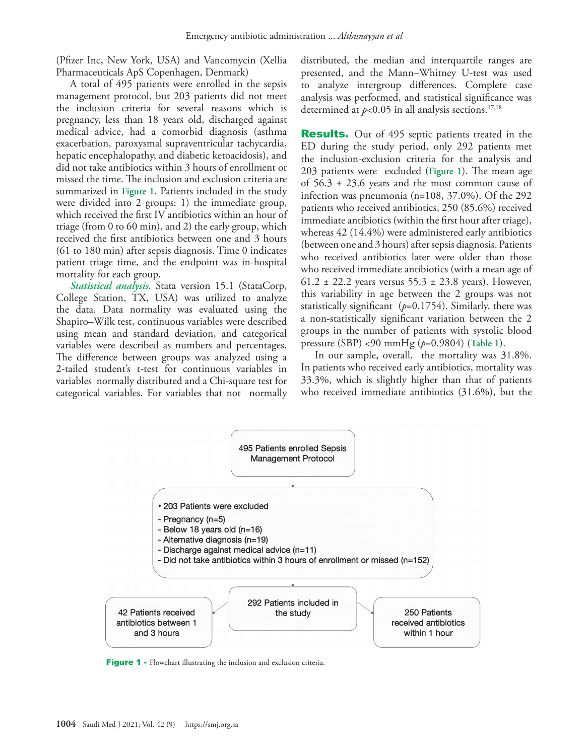(Pfizer Inc, New York, USA) and Vancomycin (Xellia Pharmaceuticals ApS Copenhagen, Denmark)

A total of 495 patients were enrolled in the sepsis management protocol, but 203 patients did not meet the inclusion criteria for several reasons which is pregnancy, less than 18 years old, discharged against medical advice, had a comorbid diagnosis (asthma exacerbation, paroxysmal supraventricular tachycardia, hepatic encephalopathy, and diabetic ketoacidosis), and did not take antibiotics within 3 hours of enrollment or missed the time. The inclusion and exclusion criteria are summarized in **Figure 1**. Patients included in the study were divided into 2 groups: 1) the immediate group, which received the first IV antibiotics within an hour of triage (from 0 to 60 min), and 2) the early group, which received the first antibiotics between one and 3 hours (61 to 180 min) after sepsis diagnosis. Time 0 indicates patient triage time, and the endpoint was in-hospital mortality for each group.

*Statistical analysis.* Stata version 15.1 (StataCorp, College Station, TX, USA) was utilized to analyze the data. Data normality was evaluated using the Shapiro–Wilk test, continuous variables were described using mean and standard deviation, and categorical variables were described as numbers and percentages. The difference between groups was analyzed using a 2-tailed student's t-test for continuous variables in variables normally distributed and a Chi-square test for categorical variables. For variables that not normally distributed, the median and interquartile ranges are presented, and the Mann–Whitney U-test was used to analyze intergroup differences. Complete case analysis was performed, and statistical significance was determined at  $p<0.05$  in all analysis sections.<sup>[17](#page-6-13),[18](#page-6-14)</sup>

**Results.** Out of 495 septic patients treated in the ED during the study period, only 292 patients met the inclusion-exclusion criteria for the analysis and 203 patients were excluded (**Figure 1**). The mean age of  $56.3 \pm 23.6$  years and the most common cause of infection was pneumonia (n=108, 37.0%). Of the 292 patients who received antibiotics, 250 (85.6%) received immediate antibiotics (within the first hour after triage), whereas 42 (14.4%) were administered early antibiotics (between one and 3 hours) after sepsis diagnosis. Patients who received antibiotics later were older than those who received immediate antibiotics (with a mean age of 61.2 ± 22.2 years versus  $55.3 \pm 23.8$  years). However, this variability in age between the 2 groups was not statistically significant  $(p=0.1754)$ . Similarly, there was a non-statistically significant variation between the 2 groups in the number of patients with systolic blood pressure (SBP) <90 mmHg (*p*=0.9804) (**Table 1**).

In our sample, overall, the mortality was 31.8%. In patients who received early antibiotics, mortality was 33.3%, which is slightly higher than that of patients who received immediate antibiotics (31.6%), but the



Figure 1 - Flowchart illustrating the inclusion and exclusion criteria.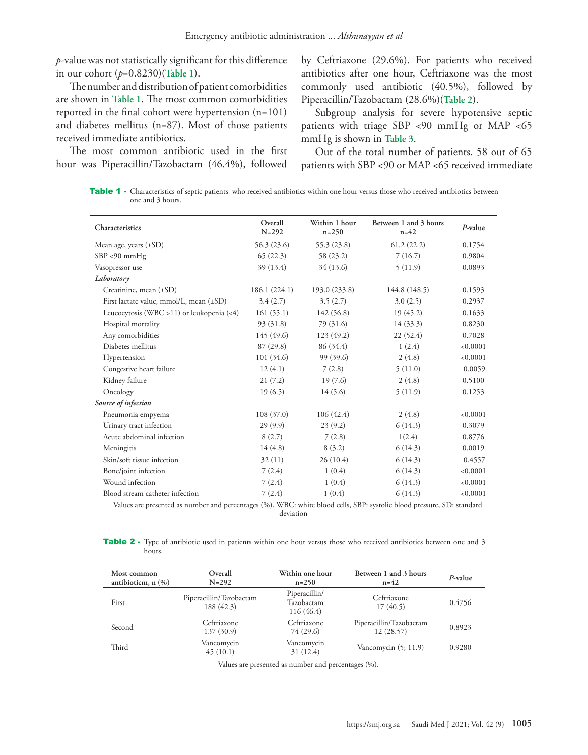*p*-value was not statistically significant for this difference in our cohort (*p*=0.8230)(**Table 1**).

The number and distribution of patient comorbidities are shown in **Table 1**. The most common comorbidities reported in the final cohort were hypertension (n=101) and diabetes mellitus (n=87). Most of those patients received immediate antibiotics.

The most common antibiotic used in the first hour was Piperacillin/Tazobactam (46.4%), followed by Ceftriaxone (29.6%). For patients who received antibiotics after one hour, Ceftriaxone was the most commonly used antibiotic (40.5%), followed by Piperacillin/Tazobactam (28.6%)(**Table 2**).

Subgroup analysis for severe hypotensive septic patients with triage SBP <90 mmHg or MAP <65 mmHg is shown in **Table 3**.

Out of the total number of patients, 58 out of 65 patients with SBP <90 or MAP <65 received immediate

Table 1 - Characteristics of septic patients who received antibiotics within one hour versus those who received antibiotics between one and 3 hours.

| Characteristics                                                                                                        | Overall<br>$N = 292$ | Within 1 hour<br>$n = 250$ | Between 1 and 3 hours<br>$n=42$ | $P$ -value |
|------------------------------------------------------------------------------------------------------------------------|----------------------|----------------------------|---------------------------------|------------|
| Mean age, years $(\pm SD)$                                                                                             | 56.3 (23.6)          | 55.3(23.8)                 | 61.2(22.2)                      | 0.1754     |
| $SBP < 90$ mmHg                                                                                                        | 65(22.3)             | 58 (23.2)                  | 7(16.7)                         | 0.9804     |
| Vasopressor use                                                                                                        | 39 (13.4)            | 34 (13.6)                  | 5(11.9)                         | 0.0893     |
| Laboratory                                                                                                             |                      |                            |                                 |            |
| Creatinine, mean $(\pm SD)$                                                                                            | 186.1(224.1)         | 193.0 (233.8)              | 144.8 (148.5)                   | 0.1593     |
| First lactate value, mmol/L, mean (±SD)                                                                                | 3.4(2.7)             | 3.5(2.7)                   | 3.0(2.5)                        | 0.2937     |
| Leucocytosis (WBC > 11) or leukopenia $(\leq 4)$                                                                       | 161(55.1)            | 142(56.8)                  | 19(45.2)                        | 0.1633     |
| Hospital mortality                                                                                                     | 93 (31.8)            | 79 (31.6)                  | 14(33.3)                        | 0.8230     |
| Any comorbidities                                                                                                      | 145 (49.6)           | 123(49.2)                  | 22(52.4)                        | 0.7028     |
| Diabetes mellitus                                                                                                      | 87(29.8)             | 86 (34.4)                  | 1(2.4)                          | < 0.0001   |
| Hypertension                                                                                                           | 101(34.6)            | 99 (39.6)                  | 2(4.8)                          | < 0.0001   |
| Congestive heart failure                                                                                               | 12(4.1)              | 7(2.8)                     | 5(11.0)                         | 0.0059     |
| Kidney failure                                                                                                         | 21(7.2)              | 19(7.6)                    | 2(4.8)                          | 0.5100     |
| Oncology                                                                                                               | 19(6.5)              | 14(5.6)                    | 5(11.9)                         | 0.1253     |
| Source of infection                                                                                                    |                      |                            |                                 |            |
| Pneumonia empyema                                                                                                      | 108(37.0)            | 106(42.4)                  | 2(4.8)                          | < 0.0001   |
| Urinary tract infection                                                                                                | 29(9.9)              | 23(9.2)                    | 6(14.3)                         | 0.3079     |
| Acute abdominal infection                                                                                              | 8(2.7)               | 7(2.8)                     | 1(2.4)                          | 0.8776     |
| Meningitis                                                                                                             | 14(4.8)              | 8(3.2)                     | 6(14.3)                         | 0.0019     |
| Skin/soft tissue infection                                                                                             | 32(11)               | 26(10.4)                   | 6(14.3)                         | 0.4557     |
| Bone/joint infection                                                                                                   | 7(2.4)               | 1(0.4)                     | 6(14.3)                         | < 0.0001   |
| Wound infection                                                                                                        | 7(2.4)               | 1(0.4)                     | 6(14.3)                         | < 0.0001   |
| Blood stream catheter infection                                                                                        | 7(2.4)               | 1(0.4)                     | 6(14.3)                         | < 0.0001   |
| Values are presented as number and percentages (%). WBC: white blood cells, SBP: systolic blood pressure, SD: standard | deviation            |                            |                                 |            |

Table 2 - Type of antibiotic used in patients within one hour versus those who received antibiotics between one and 3 hours.

| Most common<br>antibioticm, $n$ $(\%)$ | Overall<br>$N = 292$                  | Within one hour<br>$n = 250$              | Between 1 and 3 hours<br>$n=42$      | $P$ -value |
|----------------------------------------|---------------------------------------|-------------------------------------------|--------------------------------------|------------|
| First                                  | Piperacillin/Tazobactam<br>188 (42.3) | Piperacillin/<br>Tazobactam<br>116 (46.4) | Ceftriaxone<br>17(40.5)              | 0.4756     |
| Second                                 | Ceftriaxone<br>137 (30.9)             | Ceftriaxone<br>74 (29.6)                  | Piperacillin/Tazobactam<br>12(28.57) | 0.8923     |
| Third                                  | Vancomycin<br>45(10.1)                | Vancomycin<br>31 (12.4)                   | Vancomycin $(5; 11.9)$               | 0.9280     |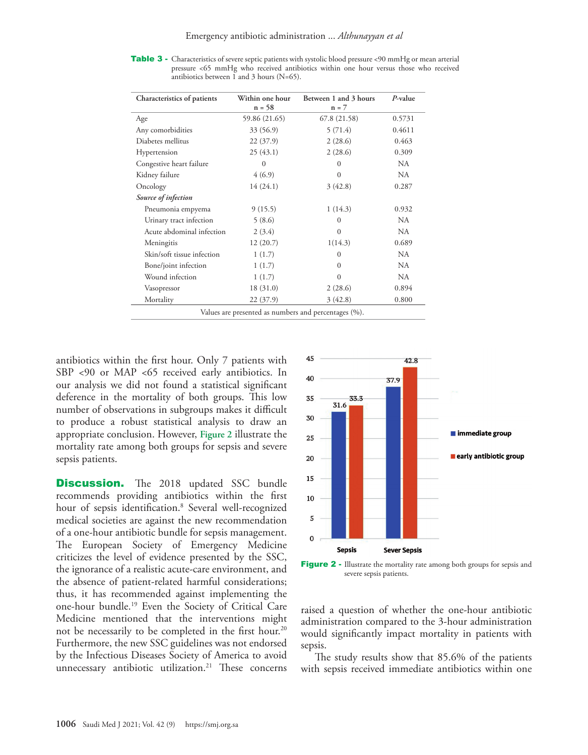Table 3 - Characteristics of severe septic patients with systolic blood pressure <90 mmHg or mean arterial pressure <65 mmHg who received antibiotics within one hour versus those who received antibiotics between 1 and 3 hours  $(N=65)$ .

| Characteristics of patients | Within one hour<br>$n = 58$ | Between 1 and 3 hours<br>$n = 7$ | P-value |
|-----------------------------|-----------------------------|----------------------------------|---------|
| Age                         | 59.86 (21.65)               | 67.8 (21.58)                     | 0.5731  |
| Any comorbidities           | 33 (56.9)                   | 5(71.4)                          | 0.4611  |
| Diabetes mellitus           | 22(37.9)                    | 2(28.6)                          | 0.463   |
| Hypertension                | 25(43.1)                    | 2(28.6)                          | 0.309   |
| Congestive heart failure    | $\Omega$                    | $\Omega$                         | NA.     |
| Kidney failure              | 4(6.9)                      | $\Omega$                         | NA      |
| Oncology                    | 14(24.1)                    | 3(42.8)                          | 0.287   |
| Source of infection         |                             |                                  |         |
| Pneumonia empyema           | 9(15.5)                     | 1(14.3)                          | 0.932   |
| Urinary tract infection     | 5(8.6)                      | $\Omega$                         | NA      |
| Acute abdominal infection   | 2(3.4)                      | $\Omega$                         | NA.     |
| Meningitis                  | 12(20.7)                    | 1(14.3)                          | 0.689   |
| Skin/soft tissue infection  | 1(1.7)                      | $\Omega$                         | NA      |
| Bone/joint infection        | 1(1.7)                      | $\Omega$                         | NA      |
| Wound infection             | 1(1.7)                      | $\Omega$                         | NA.     |
| Vasopressor                 | 18(31.0)                    | 2(28.6)                          | 0.894   |
| Mortality                   | 22(37.9)                    | 3(42.8)                          | 0.800   |

antibiotics within the first hour. Only 7 patients with SBP <90 or MAP <65 received early antibiotics. In our analysis we did not found a statistical significant deference in the mortality of both groups. This low number of observations in subgroups makes it difficult to produce a robust statistical analysis to draw an appropriate conclusion. However, **Figure 2** illustrate the mortality rate among both groups for sepsis and severe sepsis patients.

**Discussion.** The 2018 updated SSC bundle recommends providing antibiotics within the first hour of sepsis identification.8 Several well-recognized medical societies are against the new recommendation of a one-hour antibiotic bundle for sepsis management. The European Society of Emergency Medicine criticizes the level of evidence presented by the SSC, the ignorance of a realistic acute-care environment, and the absence of patient-related harmful considerations; thus, it has recommended against implementing the one-hour bundle.[19](#page-6-15) Even the Society of Critical Care Medicine mentioned that the interventions might not be necessarily to be completed in the first hour.<sup>20</sup> Furthermore, the new SSC guidelines was not endorsed by the Infectious Diseases Society of America to avoid unnecessary antibiotic utilization.<sup>21</sup> These concerns



Figure 2 - Illustrate the mortality rate among both groups for sepsis and severe sepsis patients.

raised a question of whether the one-hour antibiotic administration compared to the 3-hour administration would significantly impact mortality in patients with sepsis.

The study results show that 85.6% of the patients with sepsis received immediate antibiotics within one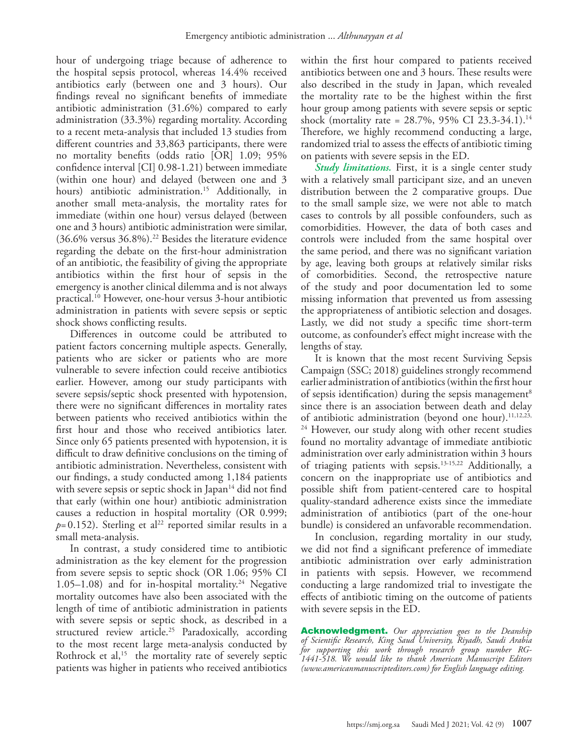hour of undergoing triage because of adherence to the hospital sepsis protocol, whereas 14.4% received antibiotics early (between one and 3 hours). Our findings reveal no significant benefits of immediate antibiotic administration (31.6%) compared to early administration (33.3%) regarding mortality. According to a recent meta-analysis that included 13 studies from different countries and 33,863 participants, there were no mortality benefits (odds ratio [OR] 1.09; 95% confidence interval [CI] 0.98-1.21) between immediate (within one hour) and delayed (between one and 3 hours) antibiotic administration.<sup>15</sup> Additionally, in another small meta-analysis, the mortality rates for immediate (within one hour) versus delayed (between one and 3 hours) antibiotic administration were similar, (36.6% versus 36.8%).22 Besides the literature evidence regarding the debate on the first-hour administration of an antibiotic, the feasibility of giving the appropriate antibiotics within the first hour of sepsis in the emergency is another clinical dilemma and is not always practical.10 However, one-hour versus 3-hour antibiotic administration in patients with severe sepsis or septic shock shows conflicting results.

Differences in outcome could be attributed to patient factors concerning multiple aspects. Generally, patients who are sicker or patients who are more vulnerable to severe infection could receive antibiotics earlier. However, among our study participants with severe sepsis/septic shock presented with hypotension, there were no significant differences in mortality rates between patients who received antibiotics within the first hour and those who received antibiotics later. Since only 65 patients presented with hypotension, it is difficult to draw definitive conclusions on the timing of antibiotic administration. Nevertheless, consistent with our findings, a study conducted among 1,184 patients with severe sepsis or septic shock in Japan $14$  did not find that early (within one hour) antibiotic administration causes a reduction in hospital mortality (OR 0.999;  $p=0.152$ ). Sterling et al<sup>22</sup> reported similar results in a small meta-analysis.

In contrast, a study considered time to antibiotic administration as the key element for the progression from severe sepsis to septic shock (OR 1.06; 95% CI 1.05–1.08) and for in-hospital mortality.<sup>24</sup> Negative mortality outcomes have also been associated with the length of time of antibiotic administration in patients with severe sepsis or septic shock, as described in a structured review article.<sup>25</sup> Paradoxically, according to the most recent large meta-analysis conducted by Rothrock et al, $15$  the mortality rate of severely septic patients was higher in patients who received antibiotics

within the first hour compared to patients received antibiotics between one and 3 hours. These results were also described in the study in Japan, which revealed the mortality rate to be the highest within the first hour group among patients with severe sepsis or septic shock (mortality rate = 28.7%, 95% CI 23.3-34.1).14 Therefore, we highly recommend conducting a large, randomized trial to assess the effects of antibiotic timing on patients with severe sepsis in the ED.

*Study limitations.* First, it is a single center study with a relatively small participant size, and an uneven distribution between the 2 comparative groups. Due to the small sample size, we were not able to match cases to controls by all possible confounders, such as comorbidities. However, the data of both cases and controls were included from the same hospital over the same period, and there was no significant variation by age, leaving both groups at relatively similar risks of comorbidities. Second, the retrospective nature of the study and poor documentation led to some missing information that prevented us from assessing the appropriateness of antibiotic selection and dosages. Lastly, we did not study a specific time short-term outcome, as confounder's effect might increase with the lengths of stay.

It is known that the most recent Surviving Sepsis Campaign (SSC; 2018) guidelines strongly recommend earlier administration of antibiotics (within the first hour of sepsis identification) during the sepsis management<sup>8</sup> since there is an association between death and delay of antibiotic administration (beyond one hour).<sup>11,12,23,</sup> <sup>24</sup> However, our study along with other recent studies found no mortality advantage of immediate antibiotic administration over early administration within 3 hours of triaging patients with sepsis.13-15,22 Additionally, a concern on the inappropriate use of antibiotics and possible shift from patient-centered care to hospital quality-standard adherence exists since the immediate administration of antibiotics (part of the one-hour bundle) is considered an unfavorable recommendation.

In conclusion, regarding mortality in our study, we did not find a significant preference of immediate antibiotic administration over early administration in patients with sepsis. However, we recommend conducting a large randomized trial to investigate the effects of antibiotic timing on the outcome of patients with severe sepsis in the ED.

Acknowledgment. *Our appreciation goes to the Deanship of Scientific Research, King Saud University, Riyadh, Saudi Arabia for supporting this work through research group number RG-1441-518. We would like to thank American Manuscript Editors (www.americanmanuscripteditors.com) for English language editing.*